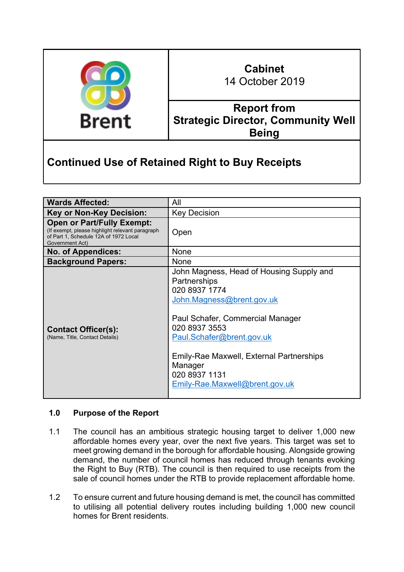

## **Cabinet** 14 October 2019

**Report from Strategic Director, Community Well Being**

# **Continued Use of Retained Right to Buy Receipts**

| <b>Wards Affected:</b>                                                                                                                           | All                                                                                                                                                                                                                                                                                                |  |  |
|--------------------------------------------------------------------------------------------------------------------------------------------------|----------------------------------------------------------------------------------------------------------------------------------------------------------------------------------------------------------------------------------------------------------------------------------------------------|--|--|
| <b>Key or Non-Key Decision:</b>                                                                                                                  | <b>Key Decision</b>                                                                                                                                                                                                                                                                                |  |  |
| <b>Open or Part/Fully Exempt:</b><br>(If exempt, please highlight relevant paragraph<br>of Part 1, Schedule 12A of 1972 Local<br>Government Act) | Open                                                                                                                                                                                                                                                                                               |  |  |
| <b>No. of Appendices:</b>                                                                                                                        | <b>None</b>                                                                                                                                                                                                                                                                                        |  |  |
| <b>Background Papers:</b>                                                                                                                        | <b>None</b>                                                                                                                                                                                                                                                                                        |  |  |
| <b>Contact Officer(s):</b><br>(Name, Title, Contact Details)                                                                                     | John Magness, Head of Housing Supply and<br>Partnerships<br>020 8937 1774<br>John.Magness@brent.gov.uk<br>Paul Schafer, Commercial Manager<br>020 8937 3553<br>Paul.Schafer@brent.gov.uk<br>Emily-Rae Maxwell, External Partnerships<br>Manager<br>020 8937 1131<br>Emily-Rae.Maxwell@brent.gov.uk |  |  |

## **1.0 Purpose of the Report**

- 1.1 The council has an ambitious strategic housing target to deliver 1,000 new affordable homes every year, over the next five years. This target was set to meet growing demand in the borough for affordable housing. Alongside growing demand, the number of council homes has reduced through tenants evoking the Right to Buy (RTB). The council is then required to use receipts from the sale of council homes under the RTB to provide replacement affordable home.
- 1.2 To ensure current and future housing demand is met, the council has committed to utilising all potential delivery routes including building 1,000 new council homes for Brent residents.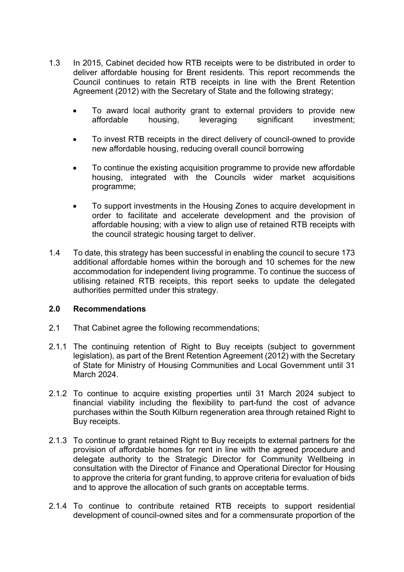- 1.3 In 2015, Cabinet decided how RTB receipts were to be distributed in order to deliver affordable housing for Brent residents. This report recommends the Council continues to retain RTB receipts in line with the Brent Retention Agreement (2012) with the Secretary of State and the following strategy;
	- To award local authority grant to external providers to provide new affordable housing, leveraging significant investment;
	- To invest RTB receipts in the direct delivery of council-owned to provide new affordable housing, reducing overall council borrowing
	- To continue the existing acquisition programme to provide new affordable housing, integrated with the Councils wider market acquisitions programme;
	- To support investments in the Housing Zones to acquire development in order to facilitate and accelerate development and the provision of affordable housing; with a view to align use of retained RTB receipts with the council strategic housing target to deliver.
- 1.4 To date, this strategy has been successful in enabling the council to secure 173 additional affordable homes within the borough and 10 schemes for the new accommodation for independent living programme. To continue the success of utilising retained RTB receipts, this report seeks to update the delegated authorities permitted under this strategy.

## **2.0 Recommendations**

- 2.1 That Cabinet agree the following recommendations;
- 2.1.1 The continuing retention of Right to Buy receipts (subject to government legislation), as part of the Brent Retention Agreement (2012) with the Secretary of State for Ministry of Housing Communities and Local Government until 31 March 2024.
- 2.1.2 To continue to acquire existing properties until 31 March 2024 subject to financial viability including the flexibility to part-fund the cost of advance purchases within the South Kilburn regeneration area through retained Right to Buy receipts.
- 2.1.3 To continue to grant retained Right to Buy receipts to external partners for the provision of affordable homes for rent in line with the agreed procedure and delegate authority to the Strategic Director for Community Wellbeing in consultation with the Director of Finance and Operational Director for Housing to approve the criteria for grant funding, to approve criteria for evaluation of bids and to approve the allocation of such grants on acceptable terms.
- 2.1.4 To continue to contribute retained RTB receipts to support residential development of council-owned sites and for a commensurate proportion of the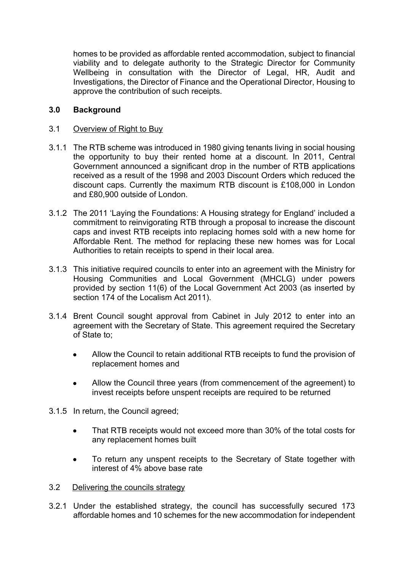homes to be provided as affordable rented accommodation, subject to financial viability and to delegate authority to the Strategic Director for Community Wellbeing in consultation with the Director of Legal, HR, Audit and Investigations, the Director of Finance and the Operational Director, Housing to approve the contribution of such receipts.

## **3.0 Background**

## 3.1 Overview of Right to Buy

- 3.1.1 The RTB scheme was introduced in 1980 giving tenants living in social housing the opportunity to buy their rented home at a discount. In 2011, Central Government announced a significant drop in the number of RTB applications received as a result of the 1998 and 2003 Discount Orders which reduced the discount caps. Currently the maximum RTB discount is £108,000 in London and £80,900 outside of London.
- 3.1.2 The 2011 'Laying the Foundations: A Housing strategy for England' included a commitment to reinvigorating RTB through a proposal to increase the discount caps and invest RTB receipts into replacing homes sold with a new home for Affordable Rent. The method for replacing these new homes was for Local Authorities to retain receipts to spend in their local area.
- 3.1.3 This initiative required councils to enter into an agreement with the Ministry for Housing Communities and Local Government (MHCLG) under powers provided by section 11(6) of the Local Government Act 2003 (as inserted by section 174 of the Localism Act 2011).
- 3.1.4 Brent Council sought approval from Cabinet in July 2012 to enter into an agreement with the Secretary of State. This agreement required the Secretary of State to;
	- Allow the Council to retain additional RTB receipts to fund the provision of replacement homes and
	- Allow the Council three years (from commencement of the agreement) to invest receipts before unspent receipts are required to be returned
- 3.1.5 In return, the Council agreed;
	- That RTB receipts would not exceed more than 30% of the total costs for any replacement homes built
	- To return any unspent receipts to the Secretary of State together with interest of 4% above base rate
- 3.2 Delivering the councils strategy
- 3.2.1 Under the established strategy, the council has successfully secured 173 affordable homes and 10 schemes for the new accommodation for independent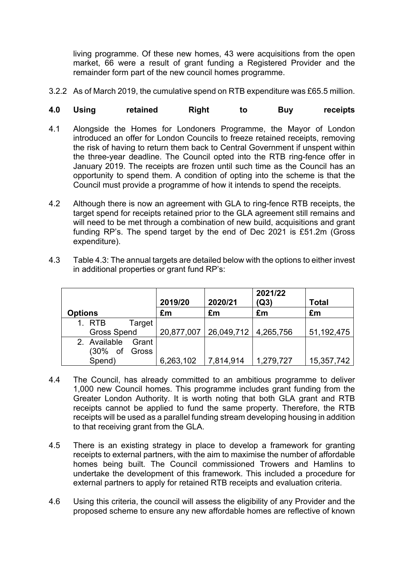living programme. Of these new homes, 43 were acquisitions from the open market, 66 were a result of grant funding a Registered Provider and the remainder form part of the new council homes programme.

3.2.2 As of March 2019, the cumulative spend on RTB expenditure was £65.5 million.

## **4.0 Using retained Right to Buy receipts**

- 4.1 Alongside the Homes for Londoners Programme, the Mayor of London introduced an offer for London Councils to freeze retained receipts, removing the risk of having to return them back to Central Government if unspent within the three-year deadline. The Council opted into the RTB ring-fence offer in January 2019. The receipts are frozen until such time as the Council has an opportunity to spend them. A condition of opting into the scheme is that the Council must provide a programme of how it intends to spend the receipts.
- 4.2 Although there is now an agreement with GLA to ring-fence RTB receipts, the target spend for receipts retained prior to the GLA agreement still remains and will need to be met through a combination of new build, acquisitions and grant funding RP's. The spend target by the end of Dec 2021 is £51.2m (Gross expenditure).

| <b>Options</b>        | 2019/20<br>£m | 2020/21<br>£m          | 2021/22<br>(Q3)<br>£m | <b>Total</b><br>£m |
|-----------------------|---------------|------------------------|-----------------------|--------------------|
| 1. RTB<br>Target      |               |                        |                       |                    |
| <b>Gross Spend</b>    | 20,877,007    | 26,049,712   4,265,756 |                       | 51,192,475         |
| 2. Available<br>Grant |               |                        |                       |                    |
| (30% of Gross         |               |                        |                       |                    |
| Spend)                | 6,263,102     | 7,814,914              | 1,279,727             | 15,357,742         |

4.3 Table 4.3: The annual targets are detailed below with the options to either invest in additional properties or grant fund RP's:

- 4.4 The Council, has already committed to an ambitious programme to deliver 1,000 new Council homes. This programme includes grant funding from the Greater London Authority. It is worth noting that both GLA grant and RTB receipts cannot be applied to fund the same property. Therefore, the RTB receipts will be used as a parallel funding stream developing housing in addition to that receiving grant from the GLA.
- 4.5 There is an existing strategy in place to develop a framework for granting receipts to external partners, with the aim to maximise the number of affordable homes being built. The Council commissioned Trowers and Hamlins to undertake the development of this framework. This included a procedure for external partners to apply for retained RTB receipts and evaluation criteria.
- 4.6 Using this criteria, the council will assess the eligibility of any Provider and the proposed scheme to ensure any new affordable homes are reflective of known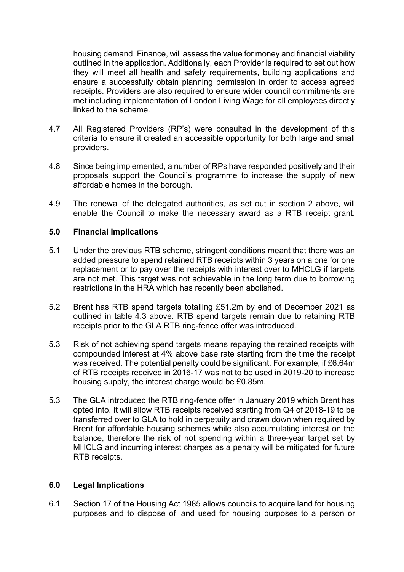housing demand. Finance, will assess the value for money and financial viability outlined in the application. Additionally, each Provider is required to set out how they will meet all health and safety requirements, building applications and ensure a successfully obtain planning permission in order to access agreed receipts. Providers are also required to ensure wider council commitments are met including implementation of London Living Wage for all employees directly linked to the scheme.

- 4.7 All Registered Providers (RP's) were consulted in the development of this criteria to ensure it created an accessible opportunity for both large and small providers.
- 4.8 Since being implemented, a number of RPs have responded positively and their proposals support the Council's programme to increase the supply of new affordable homes in the borough.
- 4.9 The renewal of the delegated authorities, as set out in section 2 above, will enable the Council to make the necessary award as a RTB receipt grant.

## **5.0 Financial Implications**

- 5.1 Under the previous RTB scheme, stringent conditions meant that there was an added pressure to spend retained RTB receipts within 3 years on a one for one replacement or to pay over the receipts with interest over to MHCLG if targets are not met. This target was not achievable in the long term due to borrowing restrictions in the HRA which has recently been abolished.
- 5.2 Brent has RTB spend targets totalling £51.2m by end of December 2021 as outlined in table 4.3 above. RTB spend targets remain due to retaining RTB receipts prior to the GLA RTB ring-fence offer was introduced.
- 5.3 Risk of not achieving spend targets means repaying the retained receipts with compounded interest at 4% above base rate starting from the time the receipt was received. The potential penalty could be significant. For example, if £6.64m of RTB receipts received in 2016-17 was not to be used in 2019-20 to increase housing supply, the interest charge would be £0.85m.
- 5.3 The GLA introduced the RTB ring-fence offer in January 2019 which Brent has opted into. It will allow RTB receipts received starting from Q4 of 2018-19 to be transferred over to GLA to hold in perpetuity and drawn down when required by Brent for affordable housing schemes while also accumulating interest on the balance, therefore the risk of not spending within a three-year target set by MHCLG and incurring interest charges as a penalty will be mitigated for future RTB receipts.

#### **6.0 Legal Implications**

6.1 Section 17 of the Housing Act 1985 allows councils to acquire land for housing purposes and to dispose of land used for housing purposes to a person or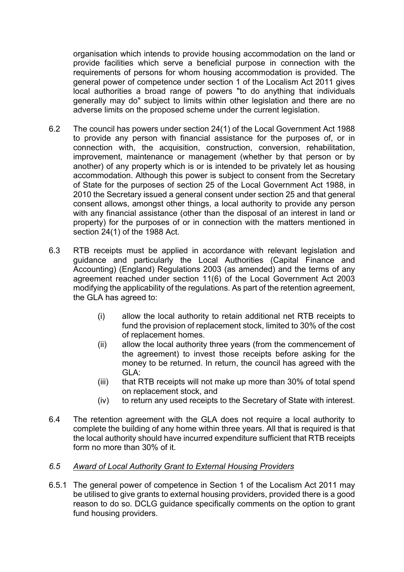organisation which intends to provide housing accommodation on the land or provide facilities which serve a beneficial purpose in connection with the requirements of persons for whom housing accommodation is provided. The general power of competence under section 1 of the Localism Act 2011 gives local authorities a broad range of powers "to do anything that individuals generally may do" subject to limits within other legislation and there are no adverse limits on the proposed scheme under the current legislation.

- 6.2 The council has powers under section 24(1) of the Local Government Act 1988 to provide any person with financial assistance for the purposes of, or in connection with, the acquisition, construction, conversion, rehabilitation, improvement, maintenance or management (whether by that person or by another) of any property which is or is intended to be privately let as housing accommodation. Although this power is subject to consent from the Secretary of State for the purposes of section 25 of the Local Government Act 1988, in 2010 the Secretary issued a general consent under section 25 and that general consent allows, amongst other things, a local authority to provide any person with any financial assistance (other than the disposal of an interest in land or property) for the purposes of or in connection with the matters mentioned in section 24(1) of the 1988 Act.
- 6.3 RTB receipts must be applied in accordance with relevant legislation and guidance and particularly the Local Authorities (Capital Finance and Accounting) (England) Regulations 2003 (as amended) and the terms of any agreement reached under section 11(6) of the Local Government Act 2003 modifying the applicability of the regulations. As part of the retention agreement, the GLA has agreed to:
	- (i) allow the local authority to retain additional net RTB receipts to fund the provision of replacement stock, limited to 30% of the cost of replacement homes.
	- (ii) allow the local authority three years (from the commencement of the agreement) to invest those receipts before asking for the money to be returned. In return, the council has agreed with the GLA:
	- (iii) that RTB receipts will not make up more than 30% of total spend on replacement stock, and
	- (iv) to return any used receipts to the Secretary of State with interest.
- 6.4 The retention agreement with the GLA does not require a local authority to complete the building of any home within three years. All that is required is that the local authority should have incurred expenditure sufficient that RTB receipts form no more than 30% of it.

## *6.5 Award of Local Authority Grant to External Housing Providers*

6.5.1 The general power of competence in Section 1 of the Localism Act 2011 may be utilised to give grants to external housing providers, provided there is a good reason to do so. DCLG guidance specifically comments on the option to grant fund housing providers.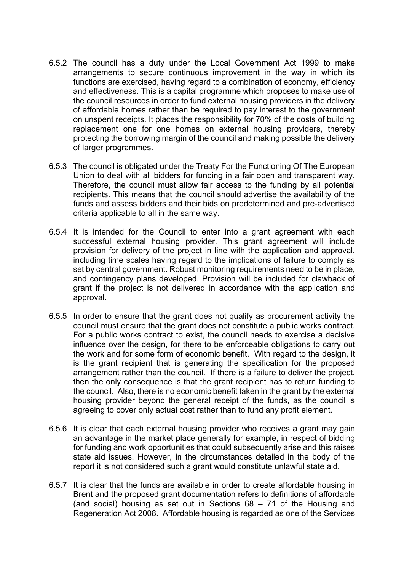- 6.5.2 The council has a duty under the Local Government Act 1999 to make arrangements to secure continuous improvement in the way in which its functions are exercised, having regard to a combination of economy, efficiency and effectiveness. This is a capital programme which proposes to make use of the council resources in order to fund external housing providers in the delivery of affordable homes rather than be required to pay interest to the government on unspent receipts. It places the responsibility for 70% of the costs of building replacement one for one homes on external housing providers, thereby protecting the borrowing margin of the council and making possible the delivery of larger programmes.
- 6.5.3 The council is obligated under the Treaty For the Functioning Of The European Union to deal with all bidders for funding in a fair open and transparent way. Therefore, the council must allow fair access to the funding by all potential recipients. This means that the council should advertise the availability of the funds and assess bidders and their bids on predetermined and pre-advertised criteria applicable to all in the same way.
- 6.5.4 It is intended for the Council to enter into a grant agreement with each successful external housing provider. This grant agreement will include provision for delivery of the project in line with the application and approval, including time scales having regard to the implications of failure to comply as set by central government. Robust monitoring requirements need to be in place, and contingency plans developed. Provision will be included for clawback of grant if the project is not delivered in accordance with the application and approval.
- 6.5.5 In order to ensure that the grant does not qualify as procurement activity the council must ensure that the grant does not constitute a public works contract. For a public works contract to exist, the council needs to exercise a decisive influence over the design, for there to be enforceable obligations to carry out the work and for some form of economic benefit. With regard to the design, it is the grant recipient that is generating the specification for the proposed arrangement rather than the council. If there is a failure to deliver the project, then the only consequence is that the grant recipient has to return funding to the council. Also, there is no economic benefit taken in the grant by the external housing provider beyond the general receipt of the funds, as the council is agreeing to cover only actual cost rather than to fund any profit element.
- 6.5.6 It is clear that each external housing provider who receives a grant may gain an advantage in the market place generally for example, in respect of bidding for funding and work opportunities that could subsequently arise and this raises state aid issues. However, in the circumstances detailed in the body of the report it is not considered such a grant would constitute unlawful state aid.
- 6.5.7 It is clear that the funds are available in order to create affordable housing in Brent and the proposed grant documentation refers to definitions of affordable (and social) housing as set out in Sections 68 – 71 of the Housing and Regeneration Act 2008. Affordable housing is regarded as one of the Services